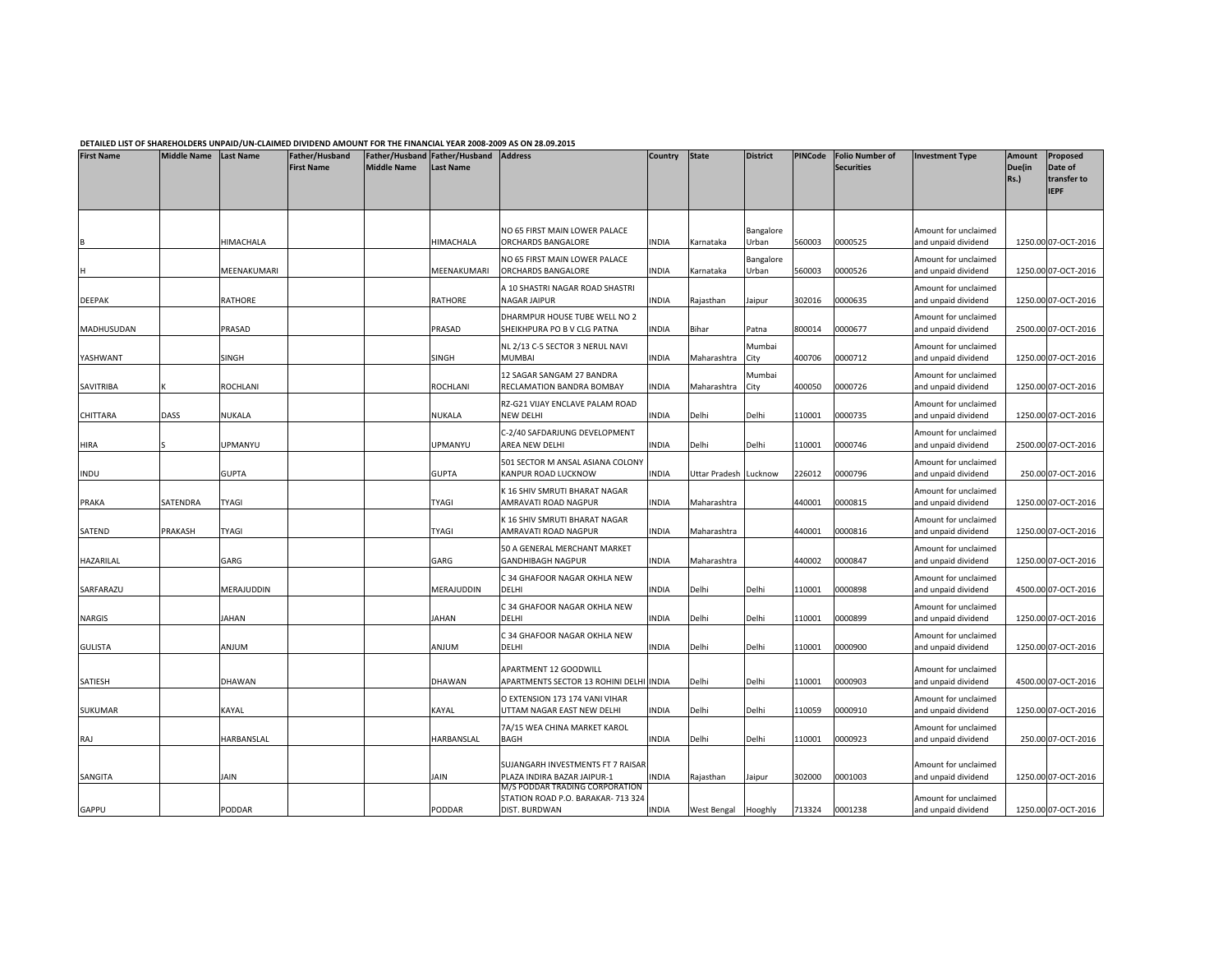## DETAILED LIST OF SHAREHOLDERS UNPAID/UN-CLAIMED DIVIDEND AMOUNT FOR THE FINANCIAL YEAR 2008-2009 AS ON 28.09.2015

| <b>First Name</b> | Middle Name Last Name |              | Father/Husband<br><b>First Name</b> | <b>Middle Name</b> | Father/Husband Father/Husband<br><b>Last Name</b> | <b>Address</b>                                                                        | Country State |               | <b>District</b>    | <b>PINCode</b> | <b>Folio Number of</b><br><b>Securities</b> | <b>Investment Type</b>                      | <b>Amount</b><br>Due(in<br>Rs.) | Proposed<br>Date of<br>transfer to<br><b>IEPF</b> |
|-------------------|-----------------------|--------------|-------------------------------------|--------------------|---------------------------------------------------|---------------------------------------------------------------------------------------|---------------|---------------|--------------------|----------------|---------------------------------------------|---------------------------------------------|---------------------------------|---------------------------------------------------|
|                   |                       | HIMACHALA    |                                     |                    | HIMACHALA                                         | NO 65 FIRST MAIN LOWER PALACE<br>ORCHARDS BANGALORE                                   | INDIA         | Karnataka     | Bangalore<br>Urban | 560003         | 0000525                                     | Amount for unclaimed<br>and unpaid dividend |                                 | 1250.00 07-OCT-2016                               |
|                   |                       | MEENAKUMARI  |                                     |                    | MEENAKUMARI                                       | NO 65 FIRST MAIN LOWER PALACE<br>ORCHARDS BANGALORE                                   | INDIA         | Karnataka     | Bangalore<br>Urban | 560003         | 0000526                                     | Amount for unclaimed<br>and unpaid dividend |                                 | 1250.00 07-OCT-2016                               |
| DEEPAK            |                       | RATHORE      |                                     |                    | RATHORE                                           | A 10 SHASTRI NAGAR ROAD SHASTRI<br>NAGAR JAIPUR                                       | <b>INDIA</b>  | Rajasthan     | Jaipur             | 302016         | 0000635                                     | Amount for unclaimed<br>and unpaid dividend |                                 | 1250.00 07-OCT-2016                               |
| MADHUSUDAN        |                       | PRASAD       |                                     |                    | PRASAD                                            | DHARMPUR HOUSE TUBE WELL NO 2<br>SHEIKHPURA PO B V CLG PATNA                          | INDIA         | Bihar         | Patna              | 800014         | 0000677                                     | Amount for unclaimed<br>and unpaid dividend |                                 | 2500.00 07-OCT-2016                               |
| YASHWANT          |                       | SINGH        |                                     |                    | <b>SINGH</b>                                      | NL 2/13 C-5 SECTOR 3 NERUL NAVI<br><b>MUMBAI</b>                                      | INDIA         | Maharashtra   | Mumbai<br>City     | 400706         | 0000712                                     | Amount for unclaimed<br>and unpaid dividend |                                 | 1250.00 07-OCT-2016                               |
| SAVITRIBA         |                       | ROCHLANI     |                                     |                    | ROCHLANI                                          | 12 SAGAR SANGAM 27 BANDRA<br>RECLAMATION BANDRA BOMBAY                                | <b>NDIA</b>   | Maharashtra   | Mumbai<br>City     | 400050         | 0000726                                     | Amount for unclaimed<br>and unpaid dividend |                                 | 1250.00 07-OCT-2016                               |
| CHITTARA          | DASS                  | NUKALA       |                                     |                    | NUKALA                                            | RZ-G21 VIJAY ENCLAVE PALAM ROAD<br>NEW DELHI                                          | INDIA         | Delhi         | Delhi              | 110001         | 0000735                                     | Amount for unclaimed<br>and unpaid dividend |                                 | 1250.00 07-OCT-2016                               |
| HIRA              |                       | UPMANYU      |                                     |                    | <b>JPMANYU</b>                                    | C-2/40 SAFDARJUNG DEVELOPMENT<br>AREA NEW DELHI                                       | INDIA         | Delhi         | Delhi              | 110001         | 0000746                                     | Amount for unclaimed<br>and unpaid dividend |                                 | 2500.00 07-OCT-2016                               |
| INDU              |                       | <b>GUPTA</b> |                                     |                    | <b>GUPTA</b>                                      | 501 SECTOR M ANSAL ASIANA COLONY<br>KANPUR ROAD LUCKNOW                               | INDIA         | Uttar Pradesh | Lucknow            | 226012         | 0000796                                     | Amount for unclaimed<br>and unpaid dividend |                                 | 250.00 07-OCT-2016                                |
| PRAKA             | SATENDRA              | <b>TYAGI</b> |                                     |                    | TYAGI                                             | K 16 SHIV SMRUTI BHARAT NAGAR<br>AMRAVATI ROAD NAGPUR                                 | INDIA         | Maharashtra   |                    | 440001         | 0000815                                     | Amount for unclaimed<br>and unpaid dividend |                                 | 1250.00 07-OCT-2016                               |
| SATEND            | PRAKASH               | <b>TYAGI</b> |                                     |                    | <b>TYAGI</b>                                      | K 16 SHIV SMRUTI BHARAT NAGAR<br>AMRAVATI ROAD NAGPUR                                 | <b>INDIA</b>  | Maharashtra   |                    | 440001         | 0000816                                     | Amount for unclaimed<br>and unpaid dividend |                                 | 1250.00 07-OCT-2016                               |
| HAZARILAL         |                       | GARG         |                                     |                    | GARG                                              | 50 A GENERAL MERCHANT MARKET<br>GANDHIBAGH NAGPUR                                     | NDIA          | Maharashtra   |                    | 140002         | 0000847                                     | Amount for unclaimed<br>and unpaid dividend |                                 | 1250.00 07-OCT-2016                               |
| SARFARAZU         |                       | MERAJUDDIN   |                                     |                    | MERAJUDDIN                                        | C 34 GHAFOOR NAGAR OKHLA NEW<br>DELHI                                                 | INDIA         | Delhi         | Delhi              | 10001          | 0000898                                     | Amount for unclaimed<br>and unpaid dividend |                                 | 4500.00 07-OCT-2016                               |
| NARGIS            |                       | <b>JAHAN</b> |                                     |                    | <b>AHAN</b>                                       | C 34 GHAFOOR NAGAR OKHLA NEW<br>DELHI                                                 | INDIA         | Delhi         | Delhi              | 110001         | 0000899                                     | Amount for unclaimed<br>and unpaid dividend |                                 | 1250.00 07-OCT-2016                               |
| <b>GULISTA</b>    |                       | MULIA        |                                     |                    | MULIA                                             | C 34 GHAFOOR NAGAR OKHLA NEW<br>DELHI                                                 | INDIA         | Delhi         | Delhi              | 10001          | 0000900                                     | Amount for unclaimed<br>and unpaid dividend |                                 | 1250.00 07-OCT-2016                               |
| SATIESH           |                       | DHAWAN       |                                     |                    | DHAWAN                                            | APARTMENT 12 GOODWILL<br>APARTMENTS SECTOR 13 ROHINI DELHI INDIA                      |               | Delhi         | Delhi              | 110001         | 0000903                                     | Amount for unclaimed<br>and unpaid dividend |                                 | 4500.00 07-OCT-2016                               |
| <b>SUKUMAR</b>    |                       | KAYAL        |                                     |                    | KAYAL                                             | O EXTENSION 173 174 VANI VIHAR<br>UTTAM NAGAR EAST NEW DELHI                          | <b>NDIA</b>   | Delhi         | Delhi              | 110059         | 0000910                                     | Amount for unclaimed<br>and unpaid dividend |                                 | 1250.00 07-OCT-2016                               |
| RAJ               |                       | HARBANSLAL   |                                     |                    | HARBANSLAL                                        | 7A/15 WEA CHINA MARKET KAROL<br>BAGH                                                  | INDIA         | Delhi         | Delhi              | 110001         | 0000923                                     | Amount for unclaimed<br>and unpaid dividend |                                 | 250.00 07-OCT-2016                                |
| SANGITA           |                       | <b>JAIN</b>  |                                     |                    | <b>AIN</b>                                        | SUJANGARH INVESTMENTS FT 7 RAISAR<br>PLAZA INDIRA BAZAR JAIPUR-1                      | INDIA         | Rajasthan     | Jaipur             | 302000         | 0001003                                     | Amount for unclaimed<br>and unpaid dividend |                                 | 1250.00 07-OCT-2016                               |
| GAPPU             |                       | PODDAR       |                                     |                    | PODDAR                                            | M/S PODDAR TRADING CORPORATION<br>STATION ROAD P.O. BARAKAR- 713 324<br>DIST. BURDWAN | INDIA         | West Bengal   | Hooghly            | 713324         | 0001238                                     | Amount for unclaimed<br>and unpaid dividend |                                 | 1250.00 07-OCT-2016                               |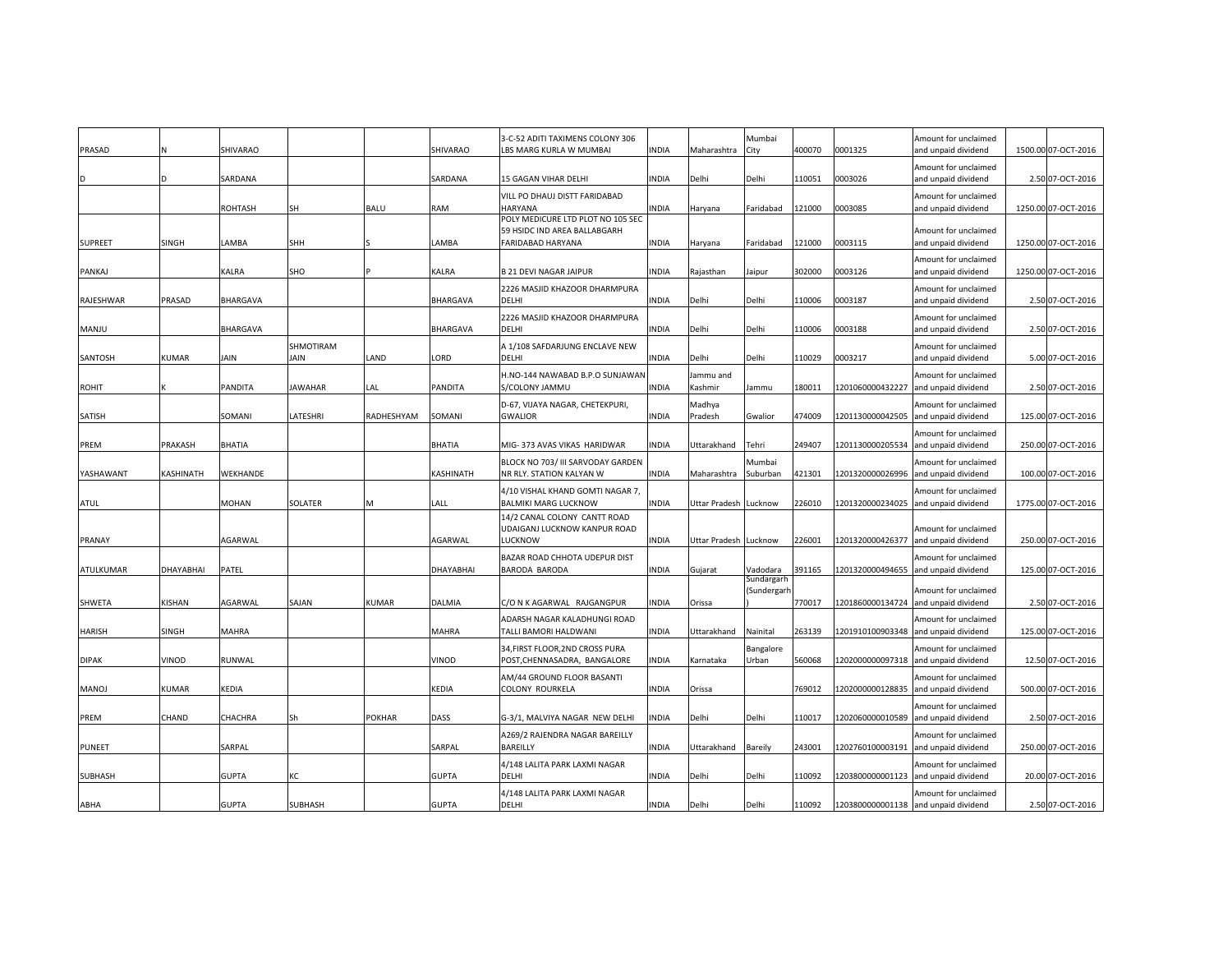| PRASAD         |              | SHIVARAO     |                          |               | SHIVARAO        | 3-C-52 ADITI TAXIMENS COLONY 306<br>LBS MARG KURLA W MUMBAI                                   | INDIA        | Maharashtra           | Mumbai<br>City | 400070 | 0001325          | Amount for unclaimed<br>and unpaid dividend                  | 1500.00 07-OCT-2016 |
|----------------|--------------|--------------|--------------------------|---------------|-----------------|-----------------------------------------------------------------------------------------------|--------------|-----------------------|----------------|--------|------------------|--------------------------------------------------------------|---------------------|
|                |              | SARDANA      |                          |               | SARDANA         | 15 GAGAN VIHAR DELHI                                                                          | <b>INDIA</b> | Delhi                 | Delhi          | 10051  | 0003026          | Amount for unclaimed<br>and unpaid dividend                  | 2.50 07-OCT-2016    |
|                |              | ROHTASH      | SH                       | BALU          | RAM             | VILL PO DHAUJ DISTT FARIDABAD<br><b>HARYANA</b>                                               | <b>NDIA</b>  | Haryana               | Faridabad      | 121000 | 0003085          | Amount for unclaimed<br>and unpaid dividend                  | 1250.00 07-OCT-2016 |
| <b>SUPREET</b> | <b>SINGH</b> | LAMBA        | <b>SHH</b>               |               | LAMBA           | POLY MEDICURE LTD PLOT NO 105 SEC<br>59 HSIDC IND AREA BALLABGARH<br><b>FARIDABAD HARYANA</b> | <b>INDIA</b> |                       |                | 121000 | 0003115          | Amount for unclaimed                                         | 1250.00 07-OCT-2016 |
|                |              |              |                          |               |                 |                                                                                               |              | Haryana               | Faridabad      |        |                  | and unpaid dividend<br>Amount for unclaimed                  |                     |
| PANKAJ         |              | KALRA        | SHO                      |               | <b>KALRA</b>    | <b>B 21 DEVI NAGAR JAIPUR</b>                                                                 | <b>INDIA</b> | Rajasthan             | Jaipur         | 302000 | 0003126          | and unpaid dividend                                          | 1250.00 07-OCT-2016 |
| RAJESHWAR      | PRASAD       | BHARGAVA     |                          |               | <b>BHARGAVA</b> | 2226 MASJID KHAZOOR DHARMPURA<br>DELHI                                                        | <b>INDIA</b> | Delhi                 | Delhi          | 10006  | 0003187          | Amount for unclaimed<br>and unpaid dividend                  | 2.50 07-OCT-2016    |
|                |              |              |                          |               |                 | 2226 MASJID KHAZOOR DHARMPURA                                                                 |              |                       |                |        |                  | Amount for unclaimed                                         |                     |
| <b>MANJU</b>   |              | BHARGAVA     |                          |               | <b>BHARGAVA</b> | DELHI                                                                                         | <b>INDIA</b> | Delhi                 | Delhi          | 10006  | 0003188          | and unpaid dividend                                          | 2.50 07-OCT-2016    |
| SANTOSH        | <b>KUMAR</b> | <b>AIN</b>   | SHMOTIRAM<br><b>JAIN</b> | LAND          | LORD            | A 1/108 SAFDARJUNG ENCLAVE NEW<br><b>DELHI</b>                                                | <b>INDIA</b> | Delhi                 | Delhi          | 10029  | 0003217          | Amount for unclaimed<br>and unpaid dividend                  | 5.00 07-OCT-2016    |
|                |              |              |                          |               |                 | H.NO-144 NAWABAD B.P.O SUNJAWAN                                                               |              | Jammu and             |                |        |                  | Amount for unclaimed                                         |                     |
| ROHIT          |              | PANDITA      | <b>JAWAHAR</b>           | LAL           | <b>PANDITA</b>  | S/COLONY JAMMU                                                                                | INDIA        | Kashmir               | Jammu          | 180011 | 1201060000432227 | and unpaid dividend                                          | 2.50 07-OCT-2016    |
|                |              |              |                          |               |                 | D-67, VIJAYA NAGAR, CHETEKPURI,                                                               |              | Madhya                |                |        |                  | Amount for unclaimed                                         |                     |
| SATISH         |              | SOMANI       | LATESHRI                 | RADHESHYAM    | SOMANI          | <b>GWALIOR</b>                                                                                | <b>INDIA</b> | Pradesh               | Gwalior        | 474009 | 1201130000042505 | and unpaid dividend                                          | 125.00 07-OCT-2016  |
| PREM           | PRAKASH      | BHATIA       |                          |               | <b>BHATIA</b>   | MIG- 373 AVAS VIKAS HARIDWAR                                                                  | <b>INDIA</b> | Uttarakhand           | Tehri          | 249407 | 1201130000205534 | Amount for unclaimed<br>and unpaid dividend                  | 250.00 07-OCT-2016  |
|                |              |              |                          |               |                 | BLOCK NO 703/ III SARVODAY GARDEN                                                             |              |                       | Mumbai         |        |                  | Amount for unclaimed                                         |                     |
| YASHAWANT      | KASHINATH    | WEKHANDE     |                          |               | KASHINATH       | NR RLY. STATION KALYAN W                                                                      | <b>INDIA</b> | Maharashtra           | Suburban       | 421301 |                  | 1201320000026996 and unpaid dividend                         | 100.00 07-OCT-2016  |
|                |              |              |                          |               |                 | 4/10 VISHAL KHAND GOMTI NAGAR 7,                                                              |              |                       |                |        |                  | Amount for unclaimed                                         |                     |
| ATUL           |              | MOHAN        | SOLATER                  | M             | LALL            | <b>BALMIKI MARG LUCKNOW</b><br>14/2 CANAL COLONY CANTT ROAD                                   | INDIA        | Uttar Pradesh Lucknow |                | 226010 | 1201320000234025 | and unpaid dividend                                          | 1775.00 07-OCT-2016 |
|                |              |              |                          |               |                 | UDAIGANJ LUCKNOW KANPUR ROAD                                                                  |              |                       |                |        |                  | Amount for unclaimed                                         |                     |
| PRANAY         |              | AGARWAL      |                          |               | AGARWAL         | LUCKNOW                                                                                       | <b>INDIA</b> | Uttar Pradesh Lucknow |                | 226001 |                  | 1201320000426377 and unpaid dividend                         | 250.00 07-OCT-2016  |
| ATULKUMAR      | DHAYABHAI    | PATEL        |                          |               | DHAYABHAI       | BAZAR ROAD CHHOTA UDEPUR DIST<br><b>BARODA BARODA</b>                                         | INDIA        | Gujarat               | Vadodara       | 391165 | 1201320000494655 | Amount for unclaimed<br>and unpaid dividend                  | 125.00 07-OCT-2016  |
|                |              |              |                          |               |                 |                                                                                               |              |                       | Sundargarh     |        |                  |                                                              |                     |
| SHWETA         | KISHAN       | AGARWAL      | SAJAN                    | <b>KUMAR</b>  | DALMIA          | C/O N K AGARWAL RAJGANGPUR                                                                    | INDIA        | Orissa                | (Sundergarh    | 770017 |                  | Amount for unclaimed<br>1201860000134724 and unpaid dividend | 2.50 07-OCT-2016    |
|                |              |              |                          |               |                 | ADARSH NAGAR KALADHUNGI ROAD                                                                  |              |                       |                |        |                  | Amount for unclaimed                                         |                     |
| HARISH         | SINGH        | MAHRA        |                          |               | <b>MAHRA</b>    | TALLI BAMORI HALDWANI                                                                         | INDIA        | Uttarakhand           | Nainital       | 263139 |                  | 1201910100903348 and unpaid dividend                         | 125.00 07-OCT-2016  |
|                |              |              |                          |               |                 | 34, FIRST FLOOR, 2ND CROSS PURA                                                               |              |                       | Bangalore      |        |                  | Amount for unclaimed                                         |                     |
| <b>DIPAK</b>   | VINOD        | RUNWAL       |                          |               | VINOD           | POST, CHENNASADRA, BANGALORE                                                                  | <b>INDIA</b> | Karnataka             | Urban          | 560068 | 1202000000097318 | and unpaid dividend                                          | 12.50 07-OCT-2016   |
| <b>MANOJ</b>   | <b>KUMAR</b> | KEDIA        |                          |               | <b>KEDIA</b>    | AM/44 GROUND FLOOR BASANTI<br>COLONY ROURKELA                                                 | <b>INDIA</b> | Orissa                |                | 769012 |                  | Amount for unclaimed<br>1202000000128835 and unpaid dividend | 500.00 07-OCT-2016  |
|                |              |              |                          |               |                 |                                                                                               |              |                       |                |        |                  | Amount for unclaimed                                         |                     |
| PREM           | CHAND        | CHACHRA      | Sh                       | <b>POKHAR</b> | DASS            | G-3/1, MALVIYA NAGAR NEW DELHI                                                                | <b>INDIA</b> | Delhi                 | Delhi          | 10017  | 1202060000010589 | and unpaid dividend                                          | 2.50 07-OCT-2016    |
|                |              |              |                          |               |                 | A269/2 RAJENDRA NAGAR BAREILLY                                                                |              |                       |                |        |                  | Amount for unclaimed                                         |                     |
| PUNEET         |              | SARPAL       |                          |               | SARPAL          | <b>BAREILLY</b>                                                                               | INDIA        | Uttarakhand           | Bareily        | 243001 | 1202760100003191 | and unpaid dividend                                          | 250.00 07-OCT-2016  |
| <b>SUBHASH</b> |              | <b>GUPTA</b> | КC                       |               | <b>GUPTA</b>    | 4/148 LALITA PARK LAXMI NAGAR<br>DELHI                                                        | INDIA        | Delhi                 | Delhi          | 10092  |                  | Amount for unclaimed<br>1203800000001123 and unpaid dividend | 20.00 07-OCT-2016   |
|                |              |              |                          |               |                 | 4/148 LALITA PARK LAXMI NAGAR                                                                 |              |                       |                |        |                  | Amount for unclaimed                                         |                     |
| ABHA           |              | <b>GUPTA</b> | <b>SUBHASH</b>           |               | <b>GUPTA</b>    | DELHI                                                                                         | INDIA        | Delhi                 | Delhi          | 110092 |                  | 1203800000001138 and unpaid dividend                         | 2.50 07-OCT-2016    |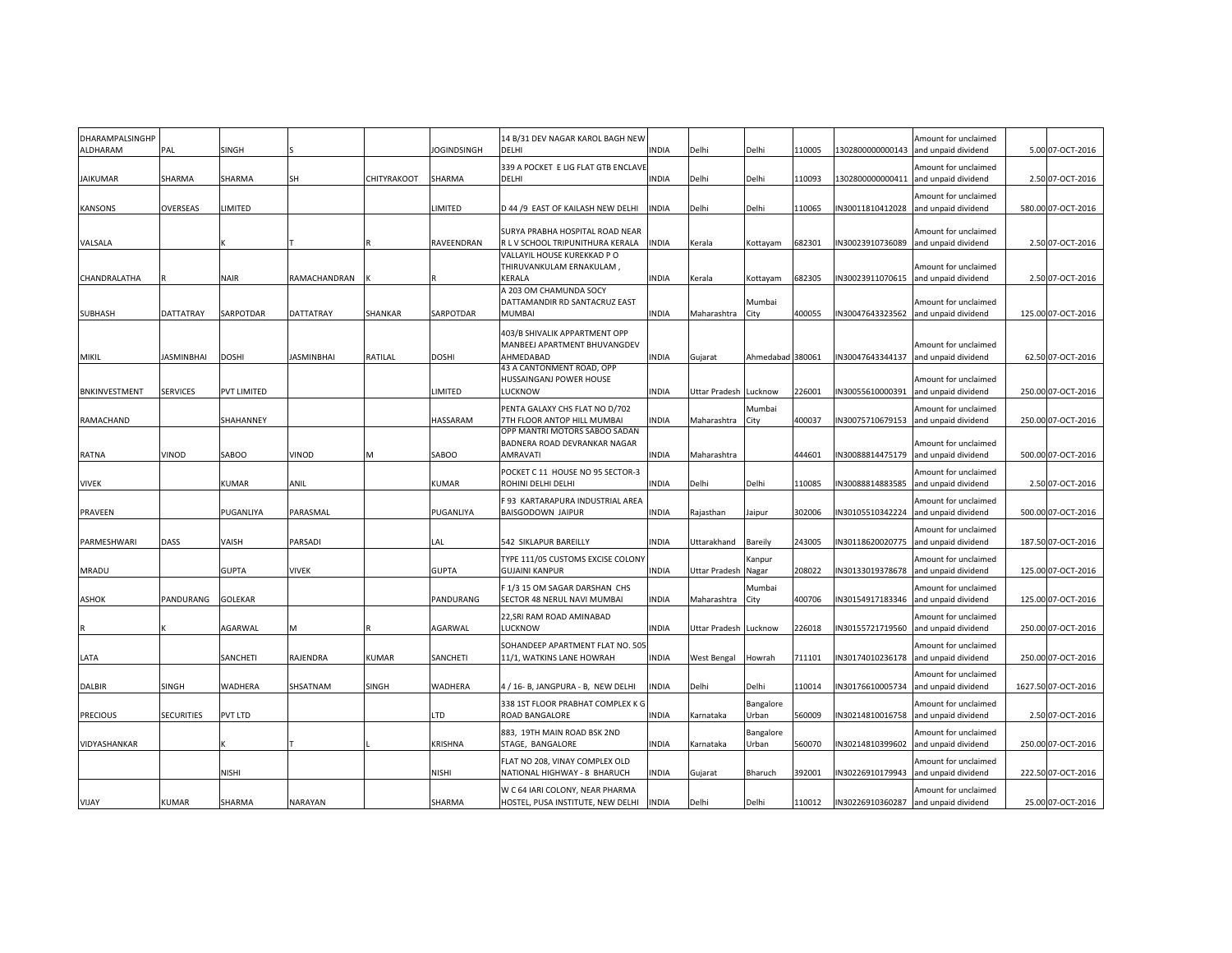| DHARAMPALSINGHP<br><b>ALDHARAM</b> | PAL               | SINGH          |                   |              | <b>JOGINDSINGH</b> | 14 B/31 DEV NAGAR KAROL BAGH NEW<br><b>DELHI</b>                           | <b>INDIA</b> | Delhi                 | Delhi              | 10005  |                 | Amount for unclaimed<br>1302800000000143 and unpaid dividend | 5.00 07-OCT-2016    |
|------------------------------------|-------------------|----------------|-------------------|--------------|--------------------|----------------------------------------------------------------------------|--------------|-----------------------|--------------------|--------|-----------------|--------------------------------------------------------------|---------------------|
| <b>JAIKUMAR</b>                    | SHARMA            | SHARMA         | <b>SH</b>         | CHITYRAKOOT  | SHARMA             | 339 A POCKET E LIG FLAT GTB ENCLAVE<br><b>DELHI</b>                        | INDIA        | Delhi                 | Delhi              | 110093 |                 | Amount for unclaimed<br>1302800000000411 and unpaid dividend | 2.50 07-OCT-2016    |
| <b>KANSONS</b>                     | <b>OVERSEAS</b>   | LIMITED        |                   |              | LIMITED            | D 44 /9 EAST OF KAILASH NEW DELHI                                          | INDIA        | Delhi                 | Delhi              | 110065 | N30011810412028 | Amount for unclaimed<br>and unpaid dividend                  | 580.00 07-OCT-2016  |
|                                    |                   |                |                   |              | <b>RAVEENDRAN</b>  | <b>SURYA PRABHA HOSPITAL ROAD NEAR</b><br>R L V SCHOOL TRIPUNITHURA KERALA |              |                       |                    | 682301 |                 | Amount for unclaimed                                         |                     |
| VALSALA                            |                   |                |                   |              |                    | VALLAYIL HOUSE KUREKKAD P O                                                | INDIA        | Kerala                | Kottayam           |        |                 | N30023910736089 and unpaid dividend                          | 2.50 07-OCT-2016    |
|                                    |                   |                |                   |              |                    | THIRUVANKULAM ERNAKULAM,                                                   |              |                       |                    |        |                 | Amount for unclaimed                                         |                     |
| CHANDRALATHA                       |                   | <b>NAIR</b>    | RAMACHANDRAN      |              |                    | <b>KERALA</b><br>A 203 OM CHAMUNDA SOCY                                    | INDIA        | Kerala                | Kottayam           | 682305 | N30023911070615 | and unpaid dividend                                          | 2.50 07-OCT-2016    |
|                                    |                   |                |                   |              |                    | DATTAMANDIR RD SANTACRUZ EAST                                              |              |                       | Mumbai             |        |                 | Amount for unclaimed                                         |                     |
| <b>SUBHASH</b>                     | <b>DATTATRAY</b>  | SARPOTDAR      | <b>DATTATRAY</b>  | SHANKAR      | SARPOTDAR          | <b>MUMBAI</b>                                                              | INDIA        | Maharashtra           | City               | 400055 |                 | N30047643323562 and unpaid dividend                          | 125.00 07-OCT-2016  |
|                                    |                   |                |                   |              |                    | 403/B SHIVALIK APPARTMENT OPP<br>MANBEEJ APARTMENT BHUVANGDEV              |              |                       |                    |        |                 | Amount for unclaimed                                         |                     |
| <b>MIKIL</b>                       | <b>JASMINBHAI</b> | <b>DOSHI</b>   | <b>JASMINBHAI</b> | RATILAL      | <b>DOSHI</b>       | AHMEDABAD                                                                  | INDIA        | Gujarat               | Ahmedabad 380061   |        | N30047643344137 | and unpaid dividend                                          | 62.50 07-OCT-2016   |
|                                    |                   |                |                   |              |                    | 43 A CANTONMENT ROAD, OPP                                                  |              |                       |                    |        |                 |                                                              |                     |
| <b>BNKINVESTMENT</b>               | <b>SERVICES</b>   | PVT LIMITED    |                   |              | LIMITED            | HUSSAINGANJ POWER HOUSE<br><b>LUCKNOW</b>                                  | INDIA        | Uttar Pradesh         | Lucknow            | 226001 | N30055610000391 | Amount for unclaimed<br>and unpaid dividend                  | 250.00 07-OCT-2016  |
|                                    |                   |                |                   |              |                    | PENTA GALAXY CHS FLAT NO D/702                                             |              |                       | Mumbai             |        |                 | Amount for unclaimed                                         |                     |
| RAMACHAND                          |                   | SHAHANNEY      |                   |              | HASSARAM           | 7TH FLOOR ANTOP HILL MUMBAI                                                | INDIA        | Maharashtra           | City               | 400037 | N30075710679153 | and unpaid dividend                                          | 250.00 07-OCT-2016  |
|                                    |                   |                |                   |              |                    | OPP MANTRI MOTORS SABOO SADAN                                              |              |                       |                    |        |                 |                                                              |                     |
| RATNA                              | VINOD             | SABOO          | VINOD             |              | SABOO              | BADNERA ROAD DEVRANKAR NAGAR<br>AMRAVATI                                   | INDIA        | Maharashtra           |                    | 444601 |                 | Amount for unclaimed<br>N30088814475179 and unpaid dividend  | 500.00 07-OCT-2016  |
|                                    |                   |                |                   |              |                    | POCKET C 11 HOUSE NO 95 SECTOR-3                                           |              |                       |                    |        |                 | Amount for unclaimed                                         |                     |
| <b>VIVEK</b>                       |                   | KUMAR          | ANIL              |              | <b>KUMAR</b>       | ROHINI DELHI DELHI                                                         | <b>INDIA</b> | Delhi                 | Delhi              | 10085  | N30088814883585 | and unpaid dividend                                          | 2.50 07-OCT-2016    |
|                                    |                   |                |                   |              |                    | F 93 KARTARAPURA INDUSTRIAL AREA                                           |              |                       |                    |        |                 | Amount for unclaimed                                         |                     |
| PRAVEEN                            |                   | PUGANLIYA      | PARASMAL          |              | PUGANLIYA          | <b>BAISGODOWN JAIPUR</b>                                                   | <b>INDIA</b> | Rajasthan             | Jaipur             | 302006 | N30105510342224 | and unpaid dividend                                          | 500.00 07-OCT-2016  |
|                                    |                   |                |                   |              |                    |                                                                            |              |                       |                    |        |                 | Amount for unclaimed                                         |                     |
| PARMESHWARI                        | DASS              | VAISH          | PARSADI           |              | LAL                | 542 SIKLAPUR BAREILLY                                                      | <b>INDIA</b> | Uttarakhand           | Bareily            | 243005 | N30118620020775 | and unpaid dividend                                          | 187.50 07-OCT-2016  |
| <b>MRADU</b>                       |                   | <b>GUPTA</b>   | <b>VIVEK</b>      |              | <b>GUPTA</b>       | TYPE 111/05 CUSTOMS EXCISE COLONY<br><b>GUJAINI KANPUR</b>                 | INDIA        | <b>Uttar Pradesh</b>  | Kanpur<br>Nagar    | 208022 | N30133019378678 | Amount for unclaimed<br>and unpaid dividend                  | 125.00 07-OCT-2016  |
|                                    |                   |                |                   |              |                    | F 1/3 15 OM SAGAR DARSHAN CHS                                              |              |                       | Mumbai             |        |                 | Amount for unclaimed                                         |                     |
| ASHOK                              | PANDURANG         | <b>GOLEKAR</b> |                   |              | PANDURANG          | SECTOR 48 NERUL NAVI MUMBAI                                                | <b>NDIA</b>  | Maharashtra           | City               | 400706 |                 | N30154917183346 and unpaid dividend                          | 125.00 07-OCT-2016  |
|                                    |                   |                |                   |              |                    | 22, SRI RAM ROAD AMINABAD                                                  |              |                       |                    |        |                 | Amount for unclaimed                                         |                     |
|                                    |                   | AGARWAL        | M                 |              | AGARWAL            | <b>LUCKNOW</b>                                                             | INDIA        | Uttar Pradesh Lucknow |                    | 226018 |                 | N30155721719560 and unpaid dividend                          | 250.00 07-OCT-2016  |
|                                    |                   |                |                   |              |                    | SOHANDEEP APARTMENT FLAT NO. 505                                           |              |                       |                    |        |                 | Amount for unclaimed                                         |                     |
| LATA                               |                   | SANCHETI       | RAJENDRA          | <b>KUMAR</b> | SANCHETI           | 11/1, WATKINS LANE HOWRAH                                                  | INDIA        | West Bengal           | Howrah             | 711101 | N30174010236178 | and unpaid dividend                                          | 250.00 07-OCT-2016  |
|                                    |                   |                |                   |              |                    |                                                                            |              |                       |                    |        |                 | Amount for unclaimed                                         |                     |
| <b>DALBIR</b>                      | <b>SINGH</b>      | WADHERA        | SHSATNAM          | SINGH        | WADHERA            | 4 / 16- B, JANGPURA - B, NEW DELHI                                         | <b>INDIA</b> | Delhi                 | Delhi              | 10014  | N30176610005734 | and unpaid dividend                                          | 1627.50 07-OCT-2016 |
| <b>PRECIOUS</b>                    | <b>SECURITIES</b> | PVT LTD        |                   |              | LTD                | 338 1ST FLOOR PRABHAT COMPLEX K G<br>ROAD BANGALORE                        | <b>INDIA</b> | Karnataka             | Bangalore<br>Urban | 560009 |                 | Amount for unclaimed<br>N30214810016758 and unpaid dividend  | 2.50 07-OCT-2016    |
|                                    |                   |                |                   |              |                    | 883, 19TH MAIN ROAD BSK 2ND                                                |              |                       |                    |        |                 | Amount for unclaimed                                         |                     |
| VIDYASHANKAR                       |                   |                |                   |              | <b>KRISHNA</b>     | STAGE, BANGALORE                                                           | <b>INDIA</b> | Karnataka             | Bangalore<br>Urban | 560070 | N30214810399602 | and unpaid dividend                                          | 250.00 07-OCT-2016  |
|                                    |                   |                |                   |              |                    | FLAT NO 208, VINAY COMPLEX OLD                                             |              |                       |                    |        |                 | Amount for unclaimed                                         |                     |
|                                    |                   | NISHI          |                   |              | NISHI              | NATIONAL HIGHWAY - 8 BHARUCH                                               | <b>NDIA</b>  | Gujarat               | Bharuch            | 392001 | N30226910179943 | and unpaid dividend                                          | 222.50 07-OCT-2016  |
|                                    |                   |                |                   |              |                    | W C 64 IARI COLONY, NEAR PHARMA                                            |              |                       |                    |        |                 | Amount for unclaimed                                         |                     |
| VIJAY                              | <b>KUMAR</b>      | SHARMA         | <b>NARAYAN</b>    |              | SHARMA             | HOSTEL, PUSA INSTITUTE, NEW DELHI                                          | <b>INDIA</b> | Delhi                 | Delhi              | 110012 |                 | IN30226910360287 and unpaid dividend                         | 25.00 07-OCT-2016   |